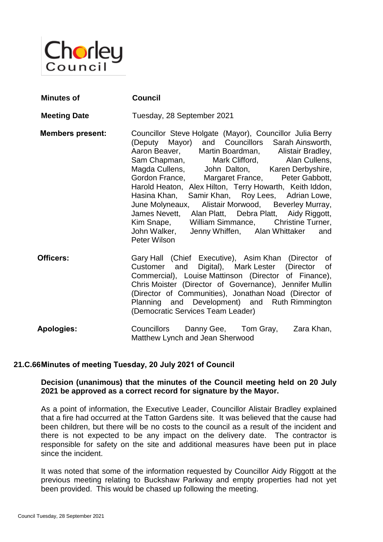

| <b>Minutes of</b>       | <b>Council</b>                                                                                                                                                                                                                                                                                                                                                                                                                                                                                                                                                                                                                                                     |  |  |
|-------------------------|--------------------------------------------------------------------------------------------------------------------------------------------------------------------------------------------------------------------------------------------------------------------------------------------------------------------------------------------------------------------------------------------------------------------------------------------------------------------------------------------------------------------------------------------------------------------------------------------------------------------------------------------------------------------|--|--|
| <b>Meeting Date</b>     | Tuesday, 28 September 2021                                                                                                                                                                                                                                                                                                                                                                                                                                                                                                                                                                                                                                         |  |  |
| <b>Members present:</b> | Councillor Steve Holgate (Mayor), Councillor Julia Berry<br>(Deputy Mayor) and Councillors Sarah Ainsworth,<br>Aaron Beaver, Martin Boardman, Alistair Bradley,<br>Sam Chapman, Mark Clifford, Alan Cullens,<br>Magda Cullens, John Dalton, Karen Derbyshire,<br>Gordon France, Margaret France, Peter Gabbott,<br>Harold Heaton, Alex Hilton, Terry Howarth, Keith Iddon,<br>Hasina Khan, Samir Khan, Roy Lees, Adrian Lowe,<br>June Molyneaux, Alistair Morwood, Beverley Murray,<br>James Nevett, Alan Platt, Debra Platt, Aidy Riggott,<br>Kim Snape, William Simmance, Christine Turner,<br>John Walker, Jenny Whiffen, Alan Whittaker<br>and<br>Peter Wilson |  |  |
| Officers:               | Gary Hall (Chief Executive), Asim Khan (Director of<br>Customer and Digital), Mark Lester (Director of<br>Commercial), Louise Mattinson (Director of Finance),<br>Chris Moister (Director of Governance), Jennifer Mullin<br>(Director of Communities), Jonathan Noad (Director of<br>Planning and Development) and Ruth Rimmington<br>(Democratic Services Team Leader)                                                                                                                                                                                                                                                                                           |  |  |
| <b>Apologies:</b>       | Councillors<br>Danny Gee, Tom Gray,<br>Zara Khan,                                                                                                                                                                                                                                                                                                                                                                                                                                                                                                                                                                                                                  |  |  |

# **21.C.66Minutes of meeting Tuesday, 20 July 2021 of Council**

### **Decision (unanimous) that the minutes of the Council meeting held on 20 July 2021 be approved as a correct record for signature by the Mayor.**

Matthew Lynch and Jean Sherwood

As a point of information, the Executive Leader, Councillor Alistair Bradley explained that a fire had occurred at the Tatton Gardens site. It was believed that the cause had been children, but there will be no costs to the council as a result of the incident and there is not expected to be any impact on the delivery date. The contractor is responsible for safety on the site and additional measures have been put in place since the incident.

It was noted that some of the information requested by Councillor Aidy Riggott at the previous meeting relating to Buckshaw Parkway and empty properties had not yet been provided. This would be chased up following the meeting.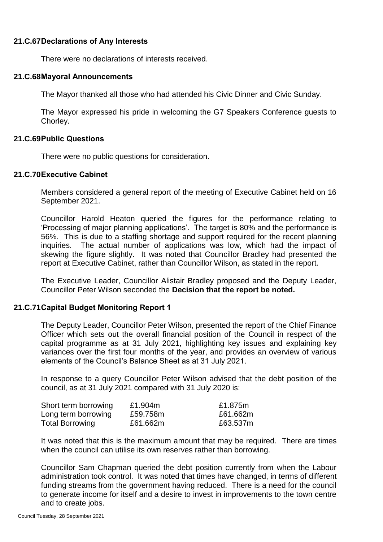# **21.C.67Declarations of Any Interests**

There were no declarations of interests received.

#### **21.C.68Mayoral Announcements**

The Mayor thanked all those who had attended his Civic Dinner and Civic Sunday.

The Mayor expressed his pride in welcoming the G7 Speakers Conference guests to Chorley.

### **21.C.69Public Questions**

There were no public questions for consideration.

#### **21.C.70Executive Cabinet**

Members considered a general report of the meeting of Executive Cabinet held on 16 September 2021.

Councillor Harold Heaton queried the figures for the performance relating to 'Processing of major planning applications'. The target is 80% and the performance is 56%. This is due to a staffing shortage and support required for the recent planning inquiries. The actual number of applications was low, which had the impact of skewing the figure slightly. It was noted that Councillor Bradley had presented the report at Executive Cabinet, rather than Councillor Wilson, as stated in the report.

The Executive Leader, Councillor Alistair Bradley proposed and the Deputy Leader, Councillor Peter Wilson seconded the **Decision that the report be noted.**

### **21.C.71Capital Budget Monitoring Report 1**

The Deputy Leader, Councillor Peter Wilson, presented the report of the Chief Finance Officer which sets out the overall financial position of the Council in respect of the capital programme as at 31 July 2021, highlighting key issues and explaining key variances over the first four months of the year, and provides an overview of various elements of the Council's Balance Sheet as at 31 July 2021.

In response to a query Councillor Peter Wilson advised that the debt position of the council, as at 31 July 2021 compared with 31 July 2020 is:

| Short term borrowing   | £1.904m  | £1.875m  |
|------------------------|----------|----------|
| Long term borrowing    | £59.758m | £61.662m |
| <b>Total Borrowing</b> | £61.662m | £63.537m |

It was noted that this is the maximum amount that may be required. There are times when the council can utilise its own reserves rather than borrowing.

Councillor Sam Chapman queried the debt position currently from when the Labour administration took control. It was noted that times have changed, in terms of different funding streams from the government having reduced. There is a need for the council to generate income for itself and a desire to invest in improvements to the town centre and to create jobs.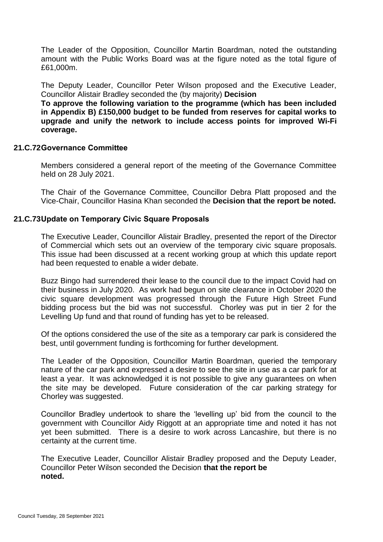The Leader of the Opposition, Councillor Martin Boardman, noted the outstanding amount with the Public Works Board was at the figure noted as the total figure of £61,000m.

The Deputy Leader, Councillor Peter Wilson proposed and the Executive Leader, Councillor Alistair Bradley seconded the (by majority) **Decision** 

**To approve the following variation to the programme (which has been included in Appendix B) £150,000 budget to be funded from reserves for capital works to upgrade and unify the network to include access points for improved Wi-Fi coverage.** 

## **21.C.72Governance Committee**

Members considered a general report of the meeting of the Governance Committee held on 28 July 2021.

The Chair of the Governance Committee, Councillor Debra Platt proposed and the Vice-Chair, Councillor Hasina Khan seconded the **Decision that the report be noted.**

## **21.C.73Update on Temporary Civic Square Proposals**

The Executive Leader, Councillor Alistair Bradley, presented the report of the Director of Commercial which sets out an overview of the temporary civic square proposals. This issue had been discussed at a recent working group at which this update report had been requested to enable a wider debate.

Buzz Bingo had surrendered their lease to the council due to the impact Covid had on their business in July 2020. As work had begun on site clearance in October 2020 the civic square development was progressed through the Future High Street Fund bidding process but the bid was not successful. Chorley was put in tier 2 for the Levelling Up fund and that round of funding has yet to be released.

Of the options considered the use of the site as a temporary car park is considered the best, until government funding is forthcoming for further development.

The Leader of the Opposition, Councillor Martin Boardman, queried the temporary nature of the car park and expressed a desire to see the site in use as a car park for at least a year. It was acknowledged it is not possible to give any guarantees on when the site may be developed. Future consideration of the car parking strategy for Chorley was suggested.

Councillor Bradley undertook to share the 'levelling up' bid from the council to the government with Councillor Aidy Riggott at an appropriate time and noted it has not yet been submitted. There is a desire to work across Lancashire, but there is no certainty at the current time.

The Executive Leader, Councillor Alistair Bradley proposed and the Deputy Leader, Councillor Peter Wilson seconded the Decision **that the report be noted.**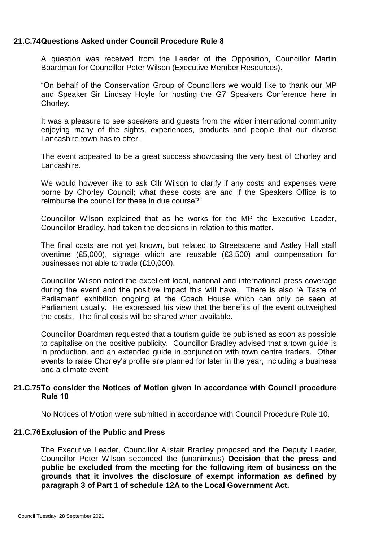# **21.C.74Questions Asked under Council Procedure Rule 8**

A question was received from the Leader of the Opposition, Councillor Martin Boardman for Councillor Peter Wilson (Executive Member Resources).

"On behalf of the Conservation Group of Councillors we would like to thank our MP and Speaker Sir Lindsay Hoyle for hosting the G7 Speakers Conference here in Chorley.

It was a pleasure to see speakers and guests from the wider international community enjoying many of the sights, experiences, products and people that our diverse Lancashire town has to offer.

The event appeared to be a great success showcasing the very best of Chorley and Lancashire.

We would however like to ask Cllr Wilson to clarify if any costs and expenses were borne by Chorley Council; what these costs are and if the Speakers Office is to reimburse the council for these in due course?"

Councillor Wilson explained that as he works for the MP the Executive Leader, Councillor Bradley, had taken the decisions in relation to this matter.

The final costs are not yet known, but related to Streetscene and Astley Hall staff overtime (£5,000), signage which are reusable (£3,500) and compensation for businesses not able to trade (£10,000).

Councillor Wilson noted the excellent local, national and international press coverage during the event and the positive impact this will have. There is also 'A Taste of Parliament' exhibition ongoing at the Coach House which can only be seen at Parliament usually. He expressed his view that the benefits of the event outweighed the costs. The final costs will be shared when available.

Councillor Boardman requested that a tourism guide be published as soon as possible to capitalise on the positive publicity. Councillor Bradley advised that a town guide is in production, and an extended guide in conjunction with town centre traders. Other events to raise Chorley's profile are planned for later in the year, including a business and a climate event.

### **21.C.75To consider the Notices of Motion given in accordance with Council procedure Rule 10**

No Notices of Motion were submitted in accordance with Council Procedure Rule 10.

### **21.C.76Exclusion of the Public and Press**

The Executive Leader, Councillor Alistair Bradley proposed and the Deputy Leader, Councillor Peter Wilson seconded the (unanimous) **Decision that the press and public be excluded from the meeting for the following item of business on the grounds that it involves the disclosure of exempt information as defined by paragraph 3 of Part 1 of schedule 12A to the Local Government Act.**